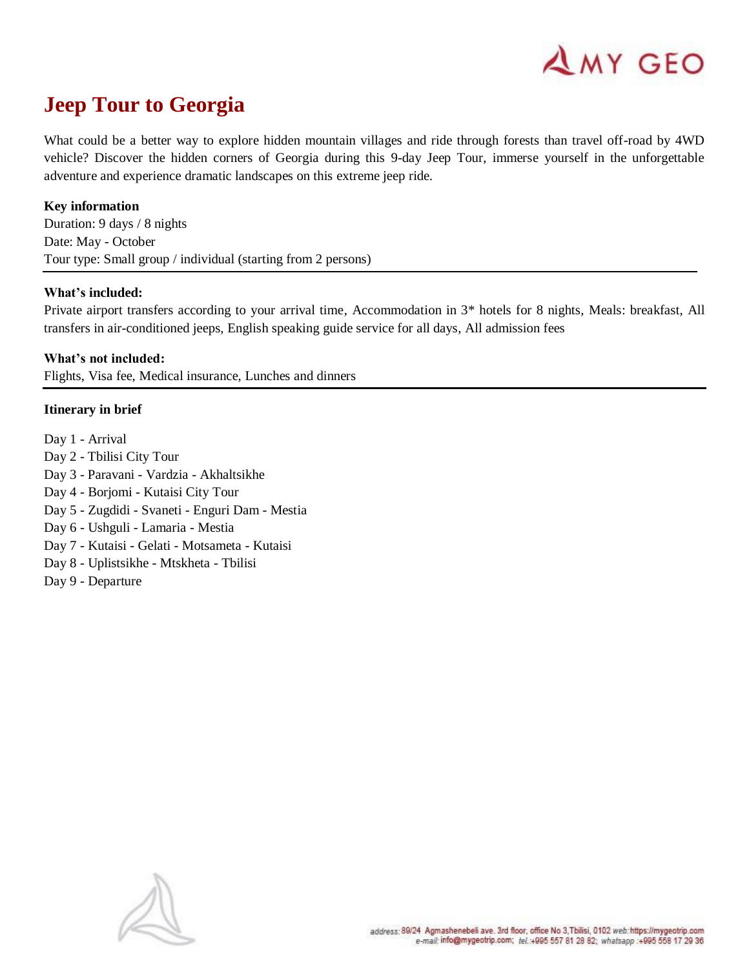

# **Jeep Tour to Georgia**

What could be a better way to explore hidden mountain villages and ride through forests than travel off-road by 4WD vehicle? Discover the hidden corners of Georgia during this 9-day Jeep Tour, immerse yourself in the unforgettable adventure and experience dramatic landscapes on this extreme jeep ride.

#### **Key information**

Duration: 9 days / 8 nights Date: May - October Tour type: Small group / individual (starting from 2 persons)

#### **What's included:**

Private airport transfers according to your arrival time, Accommodation in 3\* hotels for 8 nights, Meals: breakfast, All transfers in air-conditioned jeeps, English speaking guide service for all days, All admission fees

**What's not included:** Flights, Visa fee, Medical insurance, Lunches and dinners

#### **Itinerary in brief**

Day 1 - Arrival Day 2 - Tbilisi City Tour Day 3 - Paravani - [Vardzia](https://mygeotrip.com/the-legend-of-vardzia/) - [Akhaltsikhe](https://mygeotrip.com/akhalcikhe/) Day 4 - Borjomi - Kutaisi City Tour Day 5 - [Zugdidi](https://mygeotrip.com/zugdidi/) - Svaneti - Enguri Dam - Mestia Day 6 - Ushguli - Lamaria - Mestia Day 7 - Kutaisi - Gelati - Motsameta - Kutaisi Day 8 - Uplistsikhe - [Mtskheta](https://mygeotrip.com/mtskheta/) - Tbilisi Day 9 - Departure

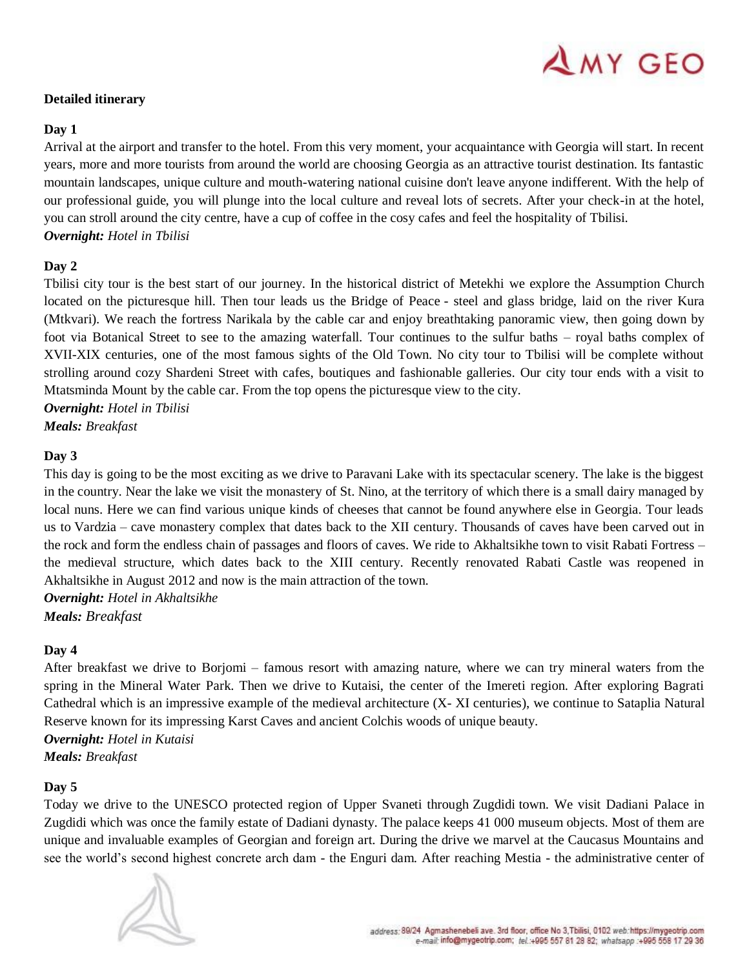# AMY GEO

# **Detailed itinerary**

### **Day 1**

Arrival at the airport and transfer to the hotel. From this very moment, your acquaintance with Georgia will start. In recent years, more and more tourists from around the world are choosing Georgia as an attractive tourist destination. Its fantastic mountain landscapes, unique culture and mouth-watering national cuisine don't leave anyone indifferent. With the help of our professional guide, you will plunge into the local culture and reveal lots of secrets. After your check-in at the hotel, you can stroll around the city centre, have a cup of coffee in the cosy cafes and feel the hospitality of Tbilisi. *Overnight: Hotel in Tbilisi*

# **Day 2**

Tbilisi city tour is the best start of our journey. In the historical district of Metekhi we explore the Assumption Church located on the picturesque hill. Then tour leads us the Bridge of Peace - steel and glass bridge, laid on the river Kura (Mtkvari). We reach the fortress Narikala by the cable car and enjoy breathtaking panoramic view, then going down by foot via Botanical Street to see to the amazing waterfall. Tour continues to the sulfur baths – royal baths complex of XVII-XIX centuries, one of the most famous sights of the Old Town. No city tour to Tbilisi will be complete without strolling around cozy Shardeni Street with cafes, boutiques and fashionable galleries. Our city tour ends with a visit to Mtatsminda Mount by the cable car. From the top opens the picturesque view to the city.

*Overnight: Hotel in Tbilisi*

*Meals: Breakfast*

# **Day 3**

This day is going to be the most exciting as we drive to Paravani Lake with its spectacular scenery. The lake is the biggest in the country. Near the lake we visit the monastery of St. Nino, at the territory of which there is a small dairy managed by local nuns. Here we can find various unique kinds of cheeses that cannot be found anywhere else in Georgia. Tour leads us to [Vardzia](https://mygeotrip.com/the-legend-of-vardzia/) – cave monastery complex that dates back to the XII century. Thousands of caves have been carved out in the rock and form the endless chain of passages and floors of caves. We ride to [Akhaltsikhe](https://mygeotrip.com/akhalcikhe/) town to visit Rabati Fortress – the medieval structure, which dates back to the XIII century. Recently renovated Rabati Castle was reopened in Akhaltsikhe in August 2012 and now is the main attraction of the town.

*Overnight: Hotel in Akhaltsikhe Meals: Breakfast*

#### **Day 4**

After breakfast we drive to Borjomi – famous resort with amazing nature, where we can try mineral waters from the spring in the Mineral Water Park. Then we drive to Kutaisi, the center of the Imereti region. After exploring Bagrati Cathedral which is an impressive example of the medieval architecture (X- XI centuries), we continue to Sataplia [Natural](https://mygeotrip.com/natural-reserves-georgia/)  [Reserve](https://mygeotrip.com/natural-reserves-georgia/) known for its impressing Karst Caves and ancient Colchis woods of unique beauty.

*Overnight: Hotel in Kutaisi*

*Meals: Breakfast*

# **Day 5**

Today we drive to the UNESCO protected region of Upper Svaneti through [Zugdidi](https://mygeotrip.com/zugdidi/) town. We visit Dadiani Palace in Zugdidi which was once the family estate of Dadiani dynasty. The palace keeps 41 000 museum objects. Most of them are unique and invaluable examples of Georgian and foreign art. During the drive we marvel at the Caucasus Mountains and see the world's second highest concrete arch dam - the Enguri dam. After reaching Mestia - the administrative center of

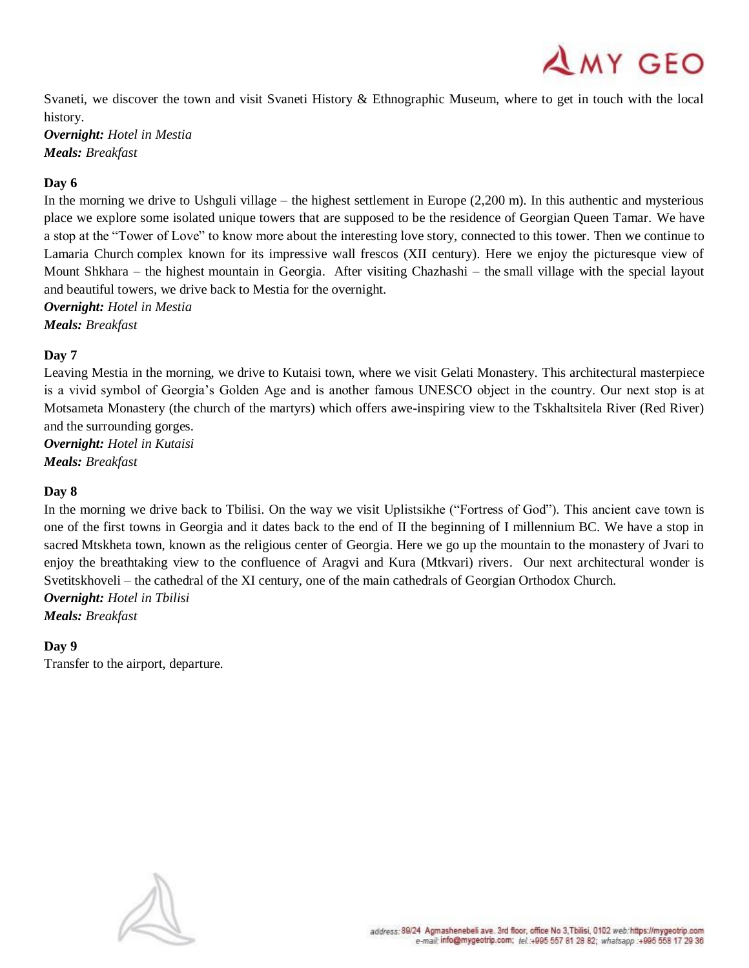$AMY$  GEO

Svaneti, we discover the town and visit Svaneti History & Ethnographic Museum, where to get in touch with the local history.

*Overnight: Hotel in Mestia Meals: Breakfast*

# **Day 6**

In the morning we drive to Ushguli village – the highest settlement in Europe (2,200 m). In this authentic and mysterious place we explore some isolated unique towers that are supposed to be the residence of Georgian Queen Tamar. We have a stop at the "Tower of Love" to know more about the interesting love story, connected to this tower. Then we continue to Lamaria Church complex known for its impressive wall frescos (XII century). Here we enjoy the picturesque view of Mount Shkhara – the highest [mountain in Georgia.](https://mygeotrip.com/mountain-peaks-georgia/) After visiting Chazhashi – the small village with the special layout and beautiful towers, we drive back to Mestia for the overnight.

*Overnight: Hotel in Mestia Meals: Breakfast*

# **Day 7**

Leaving Mestia in the morning, we drive to Kutaisi town, where we visit Gelati Monastery. This architectural masterpiece is a vivid symbol of Georgia's Golden Age and is another famous UNESCO object in the country. Our next stop is at Motsameta Monastery (the church of the martyrs) which offers awe-inspiring view to the Tskhaltsitela River (Red River) and the surrounding gorges.

*Overnight: Hotel in Kutaisi Meals: Breakfast*

# **Day 8**

In the morning we drive back to Tbilisi. On the way we visit Uplistsikhe ("Fortress of God"). This ancient cave town is one of the first towns in Georgia and it dates back to the end of II the beginning of I millennium BC. We have a stop in sacred [Mtskheta](https://mygeotrip.com/mtskheta/) town, known as the religious center of Georgia. Here we go up the mountain to the monastery of Jvari to enjoy the breathtaking view to the confluence of Aragvi and Kura (Mtkvari) rivers. Our next architectural wonder is Svetitskhoveli – the cathedral of the XI century, one of the main cathedrals of Georgian Orthodox Church. *Overnight: Hotel in Tbilisi*

*Meals: Breakfast*

#### **Day 9**

Transfer to the airport, departure.